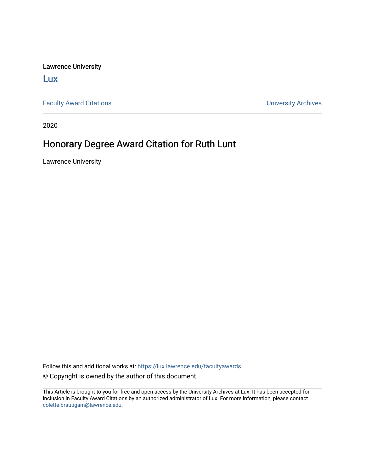Lawrence University

[Lux](https://lux.lawrence.edu/)

[Faculty Award Citations](https://lux.lawrence.edu/facultyawards) **Example 2018** 2019 12:30 November 2019 12:30 November 2019 12:30 November 2019 12:30

2020

## Honorary Degree Award Citation for Ruth Lunt

Lawrence University

Follow this and additional works at: [https://lux.lawrence.edu/facultyawards](https://lux.lawrence.edu/facultyawards?utm_source=lux.lawrence.edu%2Ffacultyawards%2F221&utm_medium=PDF&utm_campaign=PDFCoverPages)  © Copyright is owned by the author of this document.

This Article is brought to you for free and open access by the University Archives at Lux. It has been accepted for inclusion in Faculty Award Citations by an authorized administrator of Lux. For more information, please contact [colette.brautigam@lawrence.edu.](mailto:colette.brautigam@lawrence.edu)